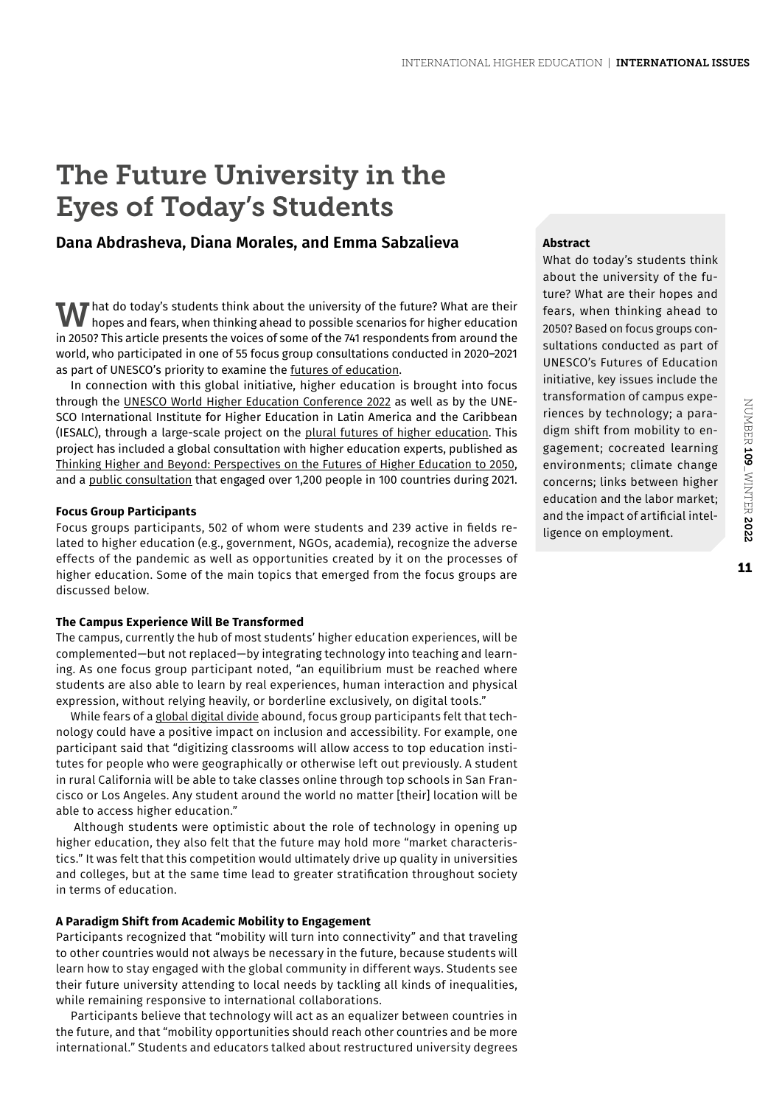# The Future University in the Eyes of Today's Students

## **Dana Abdrasheva, Diana Morales, and Emma Sabzalieva**

 $\boldsymbol{W}$  hat do today's students think about the university of the future? What are their hopes and fears, when thinking ahead to possible scenarios for higher education in 2050? This article presents the voices of some of the 741 respondents from around the world, who participated in one of 55 focus group consultations conducted in 2020–2021 as part of UNESCO's priority to examine the [futures of education](https://en.unesco.org/futuresofeducation/).

In connection with this global initiative, higher education is brought into focus through the [UNESCO World Higher Education Conference 2022](https://en.unesco.org/news/unesco-world-higher-education-conference-2022) as well as by the UNE-SCO International Institute for Higher Education in Latin America and the Caribbean (IESALC), through a large-scale project on the [plural futures of higher education](https://www.iesalc.unesco.org/en/futures-of-higher-education/). This project has included a global consultation with higher education experts, published as [Thinking Higher and Beyond: Perspectives on the Futures of Higher Education to 2050](https://www.iesalc.unesco.org/en/futures-of-higher-education/), and a [public consultation](https://www.iesalc.unesco.org/en/futures-of-higher-education/public-consultation/) that engaged over 1,200 people in 100 countries during 2021.

#### **Focus Group Participants**

Focus groups participants, 502 of whom were students and 239 active in fields related to higher education (e.g., government, NGOs, academia), recognize the adverse effects of the pandemic as well as opportunities created by it on the processes of higher education. Some of the main topics that emerged from the focus groups are discussed below.

#### **The Campus Experience Will Be Transformed**

The campus, currently the hub of most students' higher education experiences, will be complemented—but not replaced—by integrating technology into teaching and learning. As one focus group participant noted, "an equilibrium must be reached where students are also able to learn by real experiences, human interaction and physical expression, without relying heavily, or borderline exclusively, on digital tools."

While fears of a [global digital divide](https://www.iesalc.unesco.org/en/2021/05/10/the-impact-of-the-digital-divide-on-student-mobility-university-world-news/) abound, focus group participants felt that technology could have a positive impact on inclusion and accessibility. For example, one participant said that "digitizing classrooms will allow access to top education institutes for people who were geographically or otherwise left out previously. A student in rural California will be able to take classes online through top schools in San Francisco or Los Angeles. Any student around the world no matter [their] location will be able to access higher education."

Although students were optimistic about the role of technology in opening up higher education, they also felt that the future may hold more "market characteristics." It was felt that this competition would ultimately drive up quality in universities and colleges, but at the same time lead to greater stratification throughout society in terms of education.

### **A Paradigm Shift from Academic Mobility to Engagement**

Participants recognized that "mobility will turn into connectivity" and that traveling to other countries would not always be necessary in the future, because students will learn how to stay engaged with the global community in different ways. Students see their future university attending to local needs by tackling all kinds of inequalities, while remaining responsive to international collaborations.

Participants believe that technology will act as an equalizer between countries in the future, and that "mobility opportunities should reach other countries and be more international." Students and educators talked about restructured university degrees

#### **Abstract**

What do today's students think about the university of the future? What are their hopes and fears, when thinking ahead to 2050? Based on focus groups consultations conducted as part of UNESCO's Futures of Education initiative, key issues include the transformation of campus experiences by technology; a paradigm shift from mobility to engagement; cocreated learning environments; climate change concerns; links between higher education and the labor market; and the impact of artificial intelligence on employment.

11